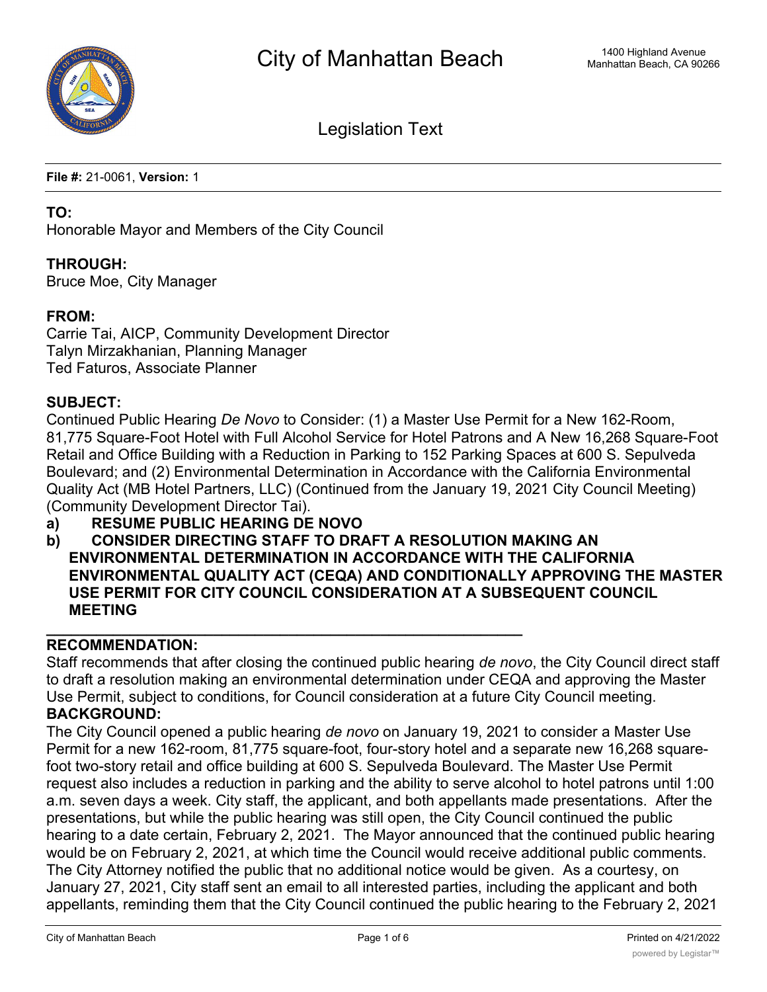

Legislation Text

**File #:** 21-0061, **Version:** 1

#### **TO:**

Honorable Mayor and Members of the City Council

### **THROUGH:**

Bruce Moe, City Manager

### **FROM:**

Carrie Tai, AICP, Community Development Director Talyn Mirzakhanian, Planning Manager Ted Faturos, Associate Planner

### **SUBJECT:**

Continued Public Hearing *De Novo* to Consider: (1) a Master Use Permit for a New 162-Room, 81,775 Square-Foot Hotel with Full Alcohol Service for Hotel Patrons and A New 16,268 Square-Foot Retail and Office Building with a Reduction in Parking to 152 Parking Spaces at 600 S. Sepulveda Boulevard; and (2) Environmental Determination in Accordance with the California Environmental Quality Act (MB Hotel Partners, LLC) (Continued from the January 19, 2021 City Council Meeting) (Community Development Director Tai).

**a) RESUME PUBLIC HEARING DE NOVO**

**\_\_\_\_\_\_\_\_\_\_\_\_\_\_\_\_\_\_\_\_\_\_\_\_\_\_\_\_\_\_\_\_\_\_\_\_\_\_\_\_\_\_\_\_\_\_\_\_\_\_\_\_\_\_\_\_\_**

**b) CONSIDER DIRECTING STAFF TO DRAFT A RESOLUTION MAKING AN ENVIRONMENTAL DETERMINATION IN ACCORDANCE WITH THE CALIFORNIA ENVIRONMENTAL QUALITY ACT (CEQA) AND CONDITIONALLY APPROVING THE MASTER USE PERMIT FOR CITY COUNCIL CONSIDERATION AT A SUBSEQUENT COUNCIL MEETING**

# **RECOMMENDATION:**

Staff recommends that after closing the continued public hearing *de novo*, the City Council direct staff to draft a resolution making an environmental determination under CEQA and approving the Master Use Permit, subject to conditions, for Council consideration at a future City Council meeting. **BACKGROUND:**

The City Council opened a public hearing *de novo* on January 19, 2021 to consider a Master Use Permit for a new 162-room, 81,775 square-foot, four-story hotel and a separate new 16,268 squarefoot two-story retail and office building at 600 S. Sepulveda Boulevard. The Master Use Permit request also includes a reduction in parking and the ability to serve alcohol to hotel patrons until 1:00 a.m. seven days a week. City staff, the applicant, and both appellants made presentations. After the presentations, but while the public hearing was still open, the City Council continued the public hearing to a date certain, February 2, 2021. The Mayor announced that the continued public hearing would be on February 2, 2021, at which time the Council would receive additional public comments. The City Attorney notified the public that no additional notice would be given. As a courtesy, on January 27, 2021, City staff sent an email to all interested parties, including the applicant and both appellants, reminding them that the City Council continued the public hearing to the February 2, 2021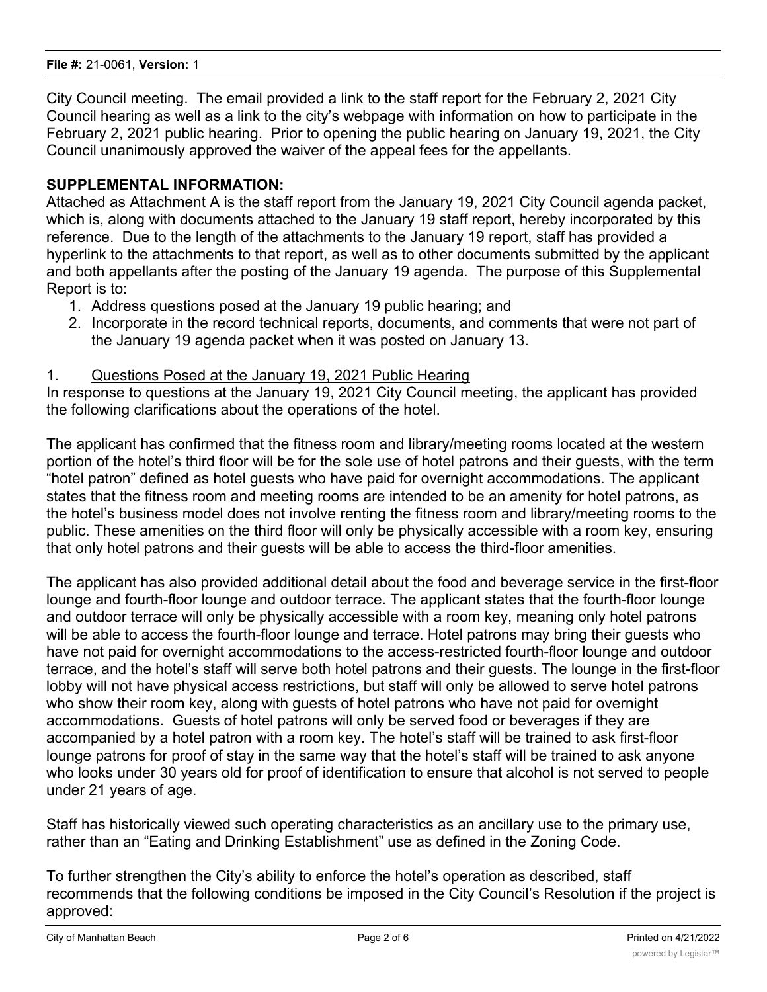City Council meeting. The email provided a link to the staff report for the February 2, 2021 City Council hearing as well as a link to the city's webpage with information on how to participate in the February 2, 2021 public hearing. Prior to opening the public hearing on January 19, 2021, the City Council unanimously approved the waiver of the appeal fees for the appellants.

# **SUPPLEMENTAL INFORMATION:**

Attached as Attachment A is the staff report from the January 19, 2021 City Council agenda packet, which is, along with documents attached to the January 19 staff report, hereby incorporated by this reference. Due to the length of the attachments to the January 19 report, staff has provided a hyperlink to the attachments to that report, as well as to other documents submitted by the applicant and both appellants after the posting of the January 19 agenda. The purpose of this Supplemental Report is to:

- 1. Address questions posed at the January 19 public hearing; and
- 2. Incorporate in the record technical reports, documents, and comments that were not part of the January 19 agenda packet when it was posted on January 13.

# 1. Questions Posed at the January 19, 2021 Public Hearing

In response to questions at the January 19, 2021 City Council meeting, the applicant has provided the following clarifications about the operations of the hotel.

The applicant has confirmed that the fitness room and library/meeting rooms located at the western portion of the hotel's third floor will be for the sole use of hotel patrons and their guests, with the term "hotel patron" defined as hotel guests who have paid for overnight accommodations. The applicant states that the fitness room and meeting rooms are intended to be an amenity for hotel patrons, as the hotel's business model does not involve renting the fitness room and library/meeting rooms to the public. These amenities on the third floor will only be physically accessible with a room key, ensuring that only hotel patrons and their guests will be able to access the third-floor amenities.

The applicant has also provided additional detail about the food and beverage service in the first-floor lounge and fourth-floor lounge and outdoor terrace. The applicant states that the fourth-floor lounge and outdoor terrace will only be physically accessible with a room key, meaning only hotel patrons will be able to access the fourth-floor lounge and terrace. Hotel patrons may bring their guests who have not paid for overnight accommodations to the access-restricted fourth-floor lounge and outdoor terrace, and the hotel's staff will serve both hotel patrons and their guests. The lounge in the first-floor lobby will not have physical access restrictions, but staff will only be allowed to serve hotel patrons who show their room key, along with guests of hotel patrons who have not paid for overnight accommodations. Guests of hotel patrons will only be served food or beverages if they are accompanied by a hotel patron with a room key. The hotel's staff will be trained to ask first-floor lounge patrons for proof of stay in the same way that the hotel's staff will be trained to ask anyone who looks under 30 years old for proof of identification to ensure that alcohol is not served to people under 21 years of age.

Staff has historically viewed such operating characteristics as an ancillary use to the primary use, rather than an "Eating and Drinking Establishment" use as defined in the Zoning Code.

To further strengthen the City's ability to enforce the hotel's operation as described, staff recommends that the following conditions be imposed in the City Council's Resolution if the project is approved: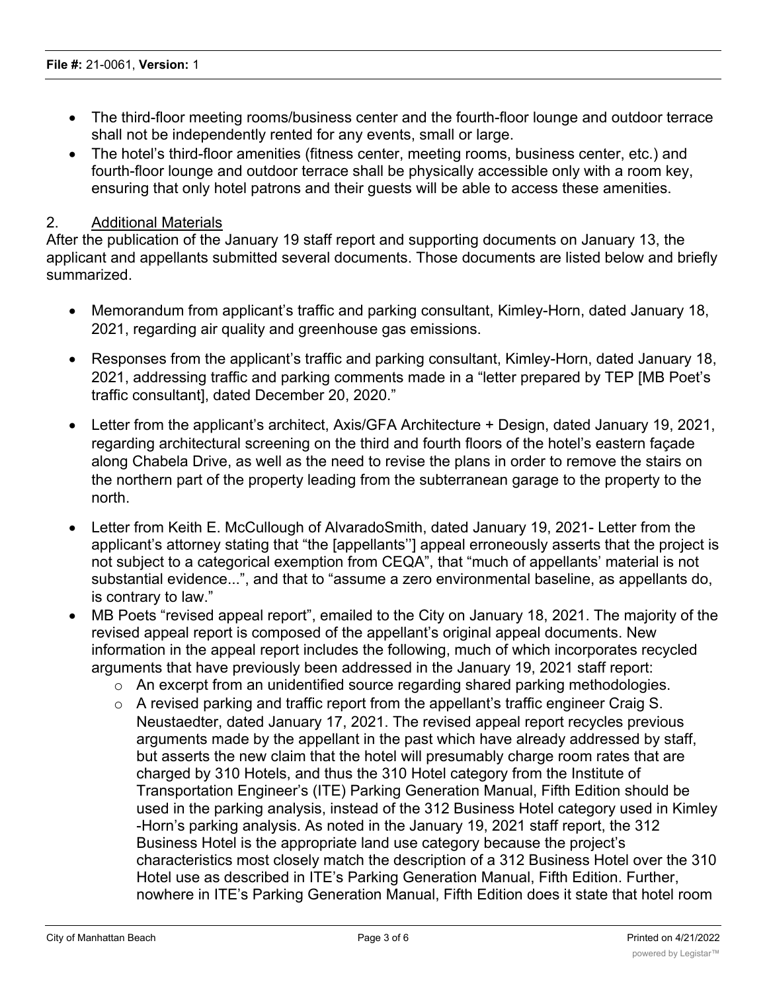- · The third-floor meeting rooms/business center and the fourth-floor lounge and outdoor terrace shall not be independently rented for any events, small or large.
- The hotel's third-floor amenities (fitness center, meeting rooms, business center, etc.) and fourth-floor lounge and outdoor terrace shall be physically accessible only with a room key, ensuring that only hotel patrons and their guests will be able to access these amenities.

### 2. Additional Materials

After the publication of the January 19 staff report and supporting documents on January 13, the applicant and appellants submitted several documents. Those documents are listed below and briefly summarized.

- · Memorandum from applicant's traffic and parking consultant, Kimley-Horn, dated January 18, 2021, regarding air quality and greenhouse gas emissions.
- · Responses from the applicant's traffic and parking consultant, Kimley-Horn, dated January 18, 2021, addressing traffic and parking comments made in a "letter prepared by TEP [MB Poet's traffic consultant], dated December 20, 2020."
- Letter from the applicant's architect, Axis/GFA Architecture + Design, dated January 19, 2021, regarding architectural screening on the third and fourth floors of the hotel's eastern façade along Chabela Drive, as well as the need to revise the plans in order to remove the stairs on the northern part of the property leading from the subterranean garage to the property to the north.
- · Letter from Keith E. McCullough of AlvaradoSmith, dated January 19, 2021- Letter from the applicant's attorney stating that "the [appellants''] appeal erroneously asserts that the project is not subject to a categorical exemption from CEQA", that "much of appellants' material is not substantial evidence...", and that to "assume a zero environmental baseline, as appellants do, is contrary to law."
- MB Poets "revised appeal report", emailed to the City on January 18, 2021. The majority of the revised appeal report is composed of the appellant's original appeal documents. New information in the appeal report includes the following, much of which incorporates recycled arguments that have previously been addressed in the January 19, 2021 staff report:
	- o An excerpt from an unidentified source regarding shared parking methodologies.
	- o A revised parking and traffic report from the appellant's traffic engineer Craig S. Neustaedter, dated January 17, 2021. The revised appeal report recycles previous arguments made by the appellant in the past which have already addressed by staff, but asserts the new claim that the hotel will presumably charge room rates that are charged by 310 Hotels, and thus the 310 Hotel category from the Institute of Transportation Engineer's (ITE) Parking Generation Manual, Fifth Edition should be used in the parking analysis, instead of the 312 Business Hotel category used in Kimley -Horn's parking analysis. As noted in the January 19, 2021 staff report, the 312 Business Hotel is the appropriate land use category because the project's characteristics most closely match the description of a 312 Business Hotel over the 310 Hotel use as described in ITE's Parking Generation Manual, Fifth Edition. Further, nowhere in ITE's Parking Generation Manual, Fifth Edition does it state that hotel room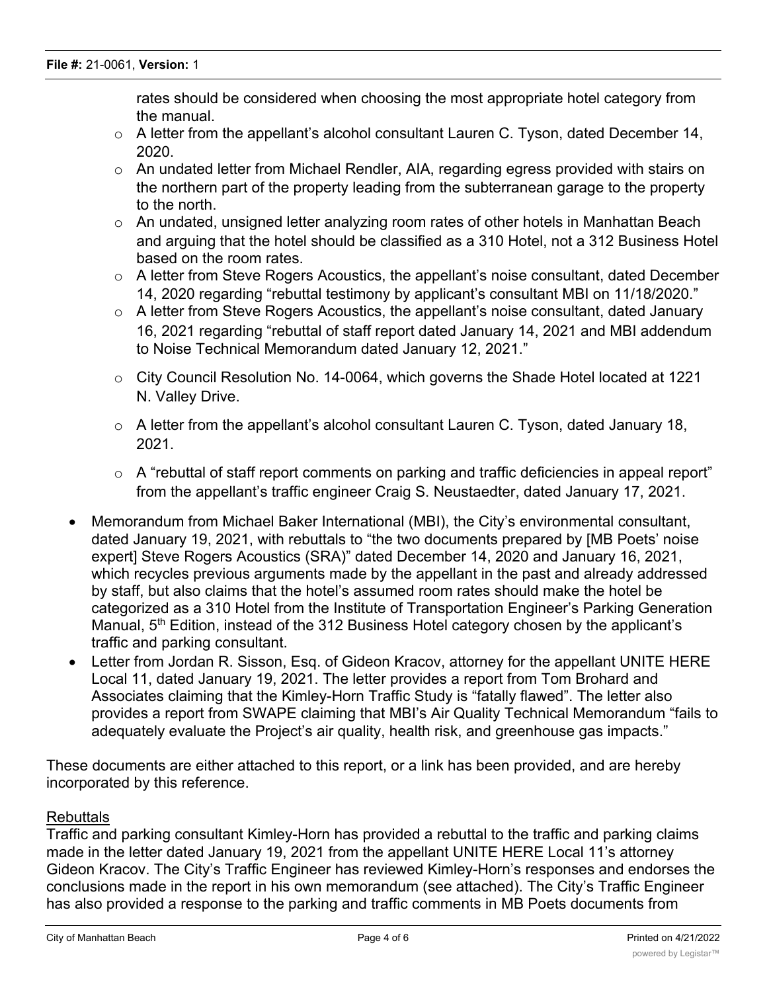rates should be considered when choosing the most appropriate hotel category from the manual.

- $\circ$  A letter from the appellant's alcohol consultant Lauren C. Tyson, dated December 14, 2020.
- o An undated letter from Michael Rendler, AIA, regarding egress provided with stairs on the northern part of the property leading from the subterranean garage to the property to the north.
- $\circ$  An undated, unsigned letter analyzing room rates of other hotels in Manhattan Beach and arguing that the hotel should be classified as a 310 Hotel, not a 312 Business Hotel based on the room rates.
- o A letter from Steve Rogers Acoustics, the appellant's noise consultant, dated December 14, 2020 regarding "rebuttal testimony by applicant's consultant MBI on 11/18/2020."
- o A letter from Steve Rogers Acoustics, the appellant's noise consultant, dated January 16, 2021 regarding "rebuttal of staff report dated January 14, 2021 and MBI addendum to Noise Technical Memorandum dated January 12, 2021."
- o City Council Resolution No. 14-0064, which governs the Shade Hotel located at 1221 N. Valley Drive.
- $\circ$  A letter from the appellant's alcohol consultant Lauren C. Tyson, dated January 18, 2021.
- o A "rebuttal of staff report comments on parking and traffic deficiencies in appeal report" from the appellant's traffic engineer Craig S. Neustaedter, dated January 17, 2021.
- · Memorandum from Michael Baker International (MBI), the City's environmental consultant, dated January 19, 2021, with rebuttals to "the two documents prepared by [MB Poets' noise expert] Steve Rogers Acoustics (SRA)" dated December 14, 2020 and January 16, 2021, which recycles previous arguments made by the appellant in the past and already addressed by staff, but also claims that the hotel's assumed room rates should make the hotel be categorized as a 310 Hotel from the Institute of Transportation Engineer's Parking Generation Manual, 5<sup>th</sup> Edition, instead of the 312 Business Hotel category chosen by the applicant's traffic and parking consultant.
- Letter from Jordan R. Sisson, Esq. of Gideon Kracov, attorney for the appellant UNITE HERE Local 11, dated January 19, 2021. The letter provides a report from Tom Brohard and Associates claiming that the Kimley-Horn Traffic Study is "fatally flawed". The letter also provides a report from SWAPE claiming that MBI's Air Quality Technical Memorandum "fails to adequately evaluate the Project's air quality, health risk, and greenhouse gas impacts."

These documents are either attached to this report, or a link has been provided, and are hereby incorporated by this reference.

# Rebuttals

Traffic and parking consultant Kimley-Horn has provided a rebuttal to the traffic and parking claims made in the letter dated January 19, 2021 from the appellant UNITE HERE Local 11's attorney Gideon Kracov. The City's Traffic Engineer has reviewed Kimley-Horn's responses and endorses the conclusions made in the report in his own memorandum (see attached). The City's Traffic Engineer has also provided a response to the parking and traffic comments in MB Poets documents from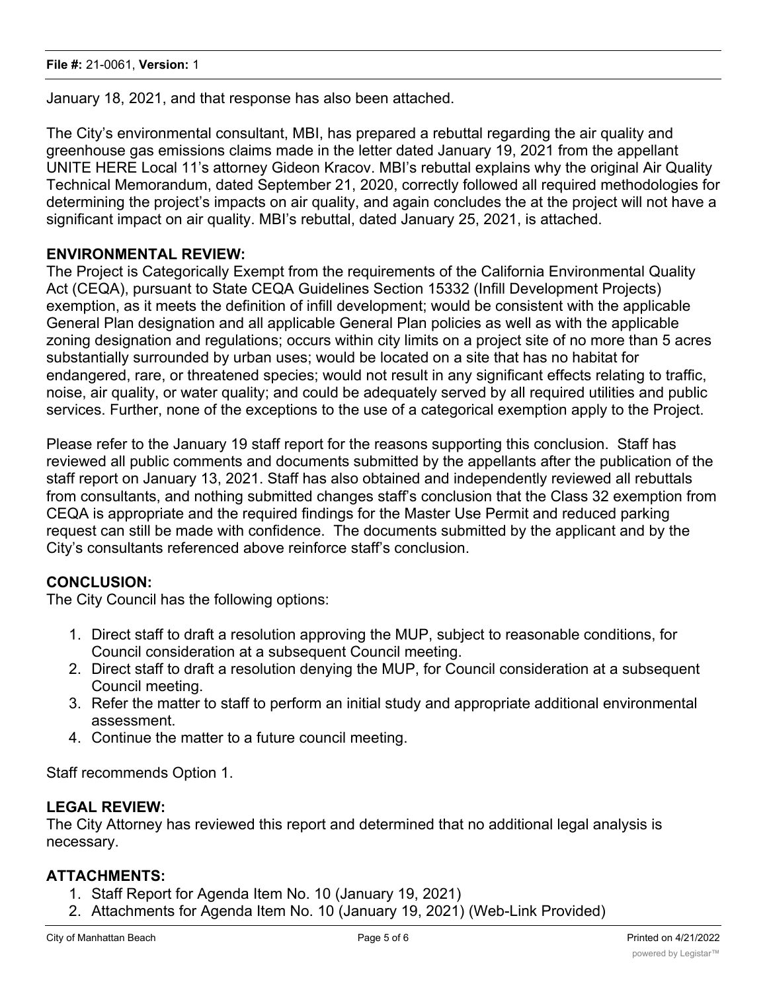January 18, 2021, and that response has also been attached.

The City's environmental consultant, MBI, has prepared a rebuttal regarding the air quality and greenhouse gas emissions claims made in the letter dated January 19, 2021 from the appellant UNITE HERE Local 11's attorney Gideon Kracov. MBI's rebuttal explains why the original Air Quality Technical Memorandum, dated September 21, 2020, correctly followed all required methodologies for determining the project's impacts on air quality, and again concludes the at the project will not have a significant impact on air quality. MBI's rebuttal, dated January 25, 2021, is attached.

### **ENVIRONMENTAL REVIEW:**

The Project is Categorically Exempt from the requirements of the California Environmental Quality Act (CEQA), pursuant to State CEQA Guidelines Section 15332 (Infill Development Projects) exemption, as it meets the definition of infill development; would be consistent with the applicable General Plan designation and all applicable General Plan policies as well as with the applicable zoning designation and regulations; occurs within city limits on a project site of no more than 5 acres substantially surrounded by urban uses; would be located on a site that has no habitat for endangered, rare, or threatened species; would not result in any significant effects relating to traffic, noise, air quality, or water quality; and could be adequately served by all required utilities and public services. Further, none of the exceptions to the use of a categorical exemption apply to the Project.

Please refer to the January 19 staff report for the reasons supporting this conclusion. Staff has reviewed all public comments and documents submitted by the appellants after the publication of the staff report on January 13, 2021. Staff has also obtained and independently reviewed all rebuttals from consultants, and nothing submitted changes staff's conclusion that the Class 32 exemption from CEQA is appropriate and the required findings for the Master Use Permit and reduced parking request can still be made with confidence. The documents submitted by the applicant and by the City's consultants referenced above reinforce staff's conclusion.

# **CONCLUSION:**

The City Council has the following options:

- 1. Direct staff to draft a resolution approving the MUP, subject to reasonable conditions, for Council consideration at a subsequent Council meeting.
- 2. Direct staff to draft a resolution denying the MUP, for Council consideration at a subsequent Council meeting.
- 3. Refer the matter to staff to perform an initial study and appropriate additional environmental assessment.
- 4. Continue the matter to a future council meeting.

Staff recommends Option 1.

#### **LEGAL REVIEW:**

The City Attorney has reviewed this report and determined that no additional legal analysis is necessary.

#### **ATTACHMENTS:**

- 1. Staff Report for Agenda Item No. 10 (January 19, 2021)
- 2. Attachments for Agenda Item No. 10 (January 19, 2021) (Web-Link Provided)